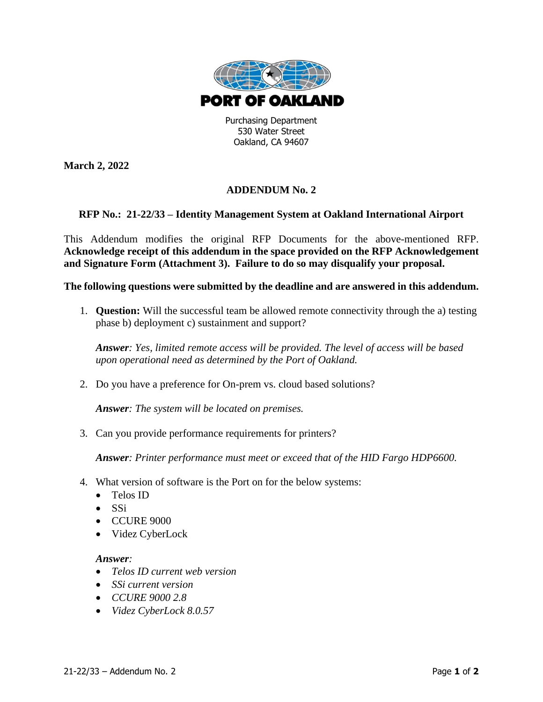

530 Water Street Oakland, CA 94607

**March 2, 2022**

## **ADDENDUM No. 2**

## **RFP No.: 21-22/33 – Identity Management System at Oakland International Airport**

This Addendum modifies the original RFP Documents for the above-mentioned RFP. **Acknowledge receipt of this addendum in the space provided on the RFP Acknowledgement and Signature Form (Attachment 3). Failure to do so may disqualify your proposal.**

**The following questions were submitted by the deadline and are answered in this addendum.**

1. **Question:** Will the successful team be allowed remote connectivity through the a) testing phase b) deployment c) sustainment and support?

*Answer: Yes, limited remote access will be provided. The level of access will be based upon operational need as determined by the Port of Oakland.*

2. Do you have a preference for On-prem vs. cloud based solutions?

*Answer: The system will be located on premises.*

3. Can you provide performance requirements for printers?

*Answer: Printer performance must meet or exceed that of the HID Fargo HDP6600.* 

- 4. What version of software is the Port on for the below systems:
	- Telos ID
	- SSi
	- CCURE 9000
	- Videz CyberLock

## *Answer:*

- *Telos ID current web version*
- *SSi current version*
- *CCURE 9000 2.8*
- *Videz CyberLock 8.0.57*